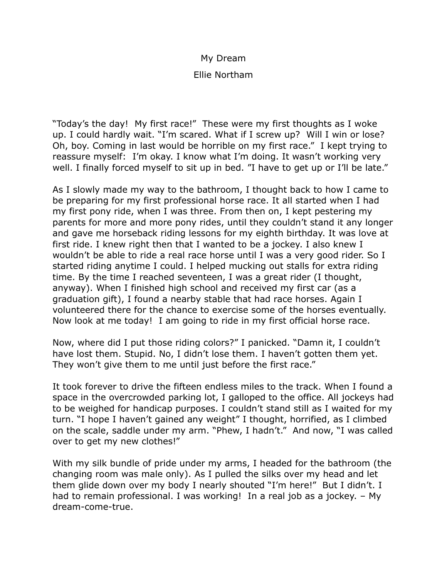## My Dream

## Ellie Northam

"Today's the day! My first race!" These were my first thoughts as I woke up. I could hardly wait. "I'm scared. What if I screw up? Will I win or lose? Oh, boy. Coming in last would be horrible on my first race." I kept trying to reassure myself: I'm okay. I know what I'm doing. It wasn't working very well. I finally forced myself to sit up in bed. "I have to get up or I'll be late."

As I slowly made my way to the bathroom, I thought back to how I came to be preparing for my first professional horse race. It all started when I had my first pony ride, when I was three. From then on, I kept pestering my parents for more and more pony rides, until they couldn't stand it any longer and gave me horseback riding lessons for my eighth birthday. It was love at first ride. I knew right then that I wanted to be a jockey. I also knew I wouldn't be able to ride a real race horse until I was a very good rider. So I started riding anytime I could. I helped mucking out stalls for extra riding time. By the time I reached seventeen, I was a great rider (I thought, anyway). When I finished high school and received my first car (as a graduation gift), I found a nearby stable that had race horses. Again I volunteered there for the chance to exercise some of the horses eventually. Now look at me today! I am going to ride in my first official horse race.

Now, where did I put those riding colors?" I panicked. "Damn it, I couldn't have lost them. Stupid. No, I didn't lose them. I haven't gotten them yet. They won't give them to me until just before the first race."

It took forever to drive the fifteen endless miles to the track. When I found a space in the overcrowded parking lot, I galloped to the office. All jockeys had to be weighed for handicap purposes. I couldn't stand still as I waited for my turn. "I hope I haven't gained any weight" I thought, horrified, as I climbed on the scale, saddle under my arm. "Phew, I hadn't." And now, "I was called over to get my new clothes!"

With my silk bundle of pride under my arms, I headed for the bathroom (the changing room was male only). As I pulled the silks over my head and let them glide down over my body I nearly shouted "I'm here!" But I didn't. I had to remain professional. I was working! In a real job as a jockey. - My dream-come-true.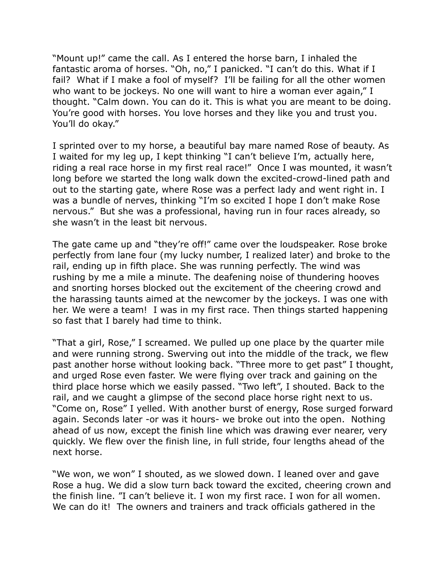"Mount up!" came the call. As I entered the horse barn, I inhaled the fantastic aroma of horses. "Oh, no," I panicked. "I can't do this. What if I fail? What if I make a fool of myself? I'll be failing for all the other women who want to be jockeys. No one will want to hire a woman ever again," I thought. "Calm down. You can do it. This is what you are meant to be doing. You're good with horses. You love horses and they like you and trust you. You'll do okay."

I sprinted over to my horse, a beautiful bay mare named Rose of beauty. As I waited for my leg up, I kept thinking "I can't believe I'm, actually here, riding a real race horse in my first real race!" Once I was mounted, it wasn't long before we started the long walk down the excited-crowd-lined path and out to the starting gate, where Rose was a perfect lady and went right in. I was a bundle of nerves, thinking "I'm so excited I hope I don't make Rose nervous." But she was a professional, having run in four races already, so she wasn't in the least bit nervous.

The gate came up and "they're off!" came over the loudspeaker. Rose broke perfectly from lane four (my lucky number, I realized later) and broke to the rail, ending up in fifth place. She was running perfectly. The wind was rushing by me a mile a minute. The deafening noise of thundering hooves and snorting horses blocked out the excitement of the cheering crowd and the harassing taunts aimed at the newcomer by the jockeys. I was one with her. We were a team! I was in my first race. Then things started happening so fast that I barely had time to think.

"That a girl, Rose," I screamed. We pulled up one place by the quarter mile and were running strong. Swerving out into the middle of the track, we flew past another horse without looking back. "Three more to get past" I thought, and urged Rose even faster. We were flying over track and gaining on the third place horse which we easily passed. "Two left", I shouted. Back to the rail, and we caught a glimpse of the second place horse right next to us. "Come on, Rose" I yelled. With another burst of energy, Rose surged forward again. Seconds later -or was it hours- we broke out into the open. Nothing ahead of us now, except the finish line which was drawing ever nearer, very quickly. We flew over the finish line, in full stride, four lengths ahead of the next horse.

"We won, we won" I shouted, as we slowed down. I leaned over and gave Rose a hug. We did a slow turn back toward the excited, cheering crown and the finish line. "I can't believe it. I won my first race. I won for all women. We can do it! The owners and trainers and track officials gathered in the